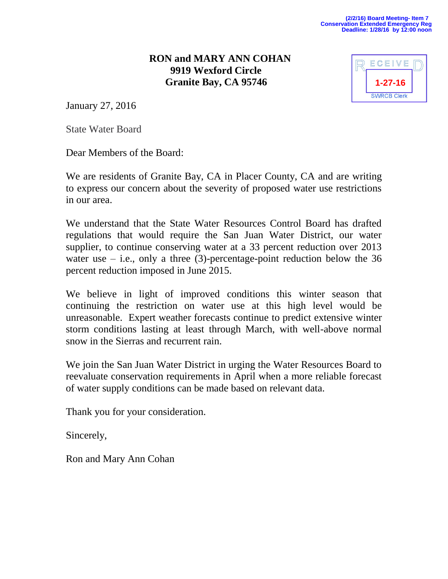## **RON and MARY ANN COHAN 9919 Wexford Circle Granite Bay, CA 95746**

| ECEIVE             |  |
|--------------------|--|
| 1-27-16            |  |
| <b>SWRCB Clerk</b> |  |

January 27, 2016

State Water Board

Dear Members of the Board:

We are residents of Granite Bay, CA in Placer County, CA and are writing to express our concern about the severity of proposed water use restrictions in our area.

We understand that the State Water Resources Control Board has drafted regulations that would require the San Juan Water District, our water supplier, to continue conserving water at a 33 percent reduction over 2013 water use  $-$  i.e., only a three (3)-percentage-point reduction below the 36 percent reduction imposed in June 2015.

We believe in light of improved conditions this winter season that continuing the restriction on water use at this high level would be unreasonable. Expert weather forecasts continue to predict extensive winter storm conditions lasting at least through March, with well-above normal snow in the Sierras and recurrent rain.

We join the San Juan Water District in urging the Water Resources Board to reevaluate conservation requirements in April when a more reliable forecast of water supply conditions can be made based on relevant data.

Thank you for your consideration.

Sincerely,

Ron and Mary Ann Cohan